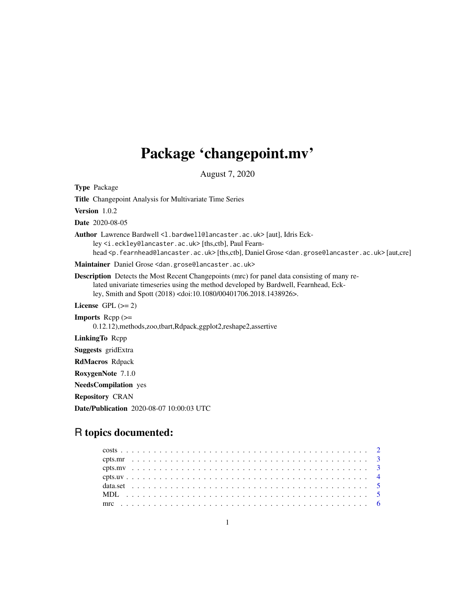## Package 'changepoint.mv'

August 7, 2020

<span id="page-0-0"></span>Type Package Title Changepoint Analysis for Multivariate Time Series Version 1.0.2 Date 2020-08-05 Author Lawrence Bardwell <1.bardwell@lancaster.ac.uk> [aut], Idris Eckley <i.eckley@lancaster.ac.uk> [ths,ctb], Paul Fearnhead <p.fearnhead@lancaster.ac.uk> [ths,ctb], Daniel Grose <dan.grose@lancaster.ac.uk> [aut,cre] Maintainer Daniel Grose <dan.grose@lancaster.ac.uk> Description Detects the Most Recent Changepoints (mrc) for panel data consisting of many related univariate timeseries using the method developed by Bardwell, Fearnhead, Eckley, Smith and Spott (2018) <doi:10.1080/00401706.2018.1438926>. License GPL  $(>= 2)$ **Imports**  $\text{Rcpp}$  ( $\geq$ 0.12.12),methods,zoo,tbart,Rdpack,ggplot2,reshape2,assertive LinkingTo Rcpp Suggests gridExtra RdMacros Rdpack RoxygenNote 7.1.0 NeedsCompilation yes Repository CRAN Date/Publication 2020-08-07 10:00:03 UTC

### R topics documented: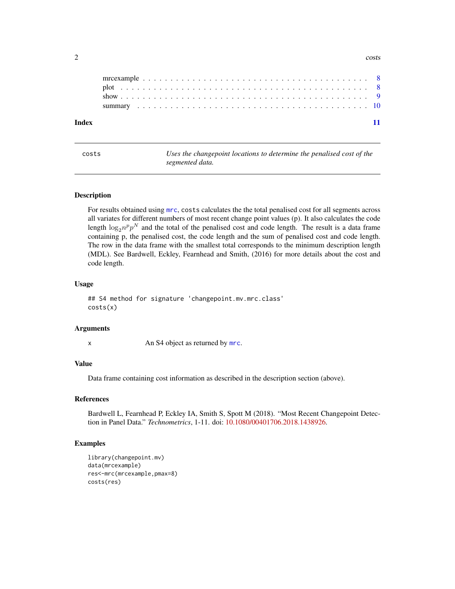#### <span id="page-1-0"></span> $2 \cos \theta$

| Index |  |  |  |  |  |  |  |  |  |  |  |  |  |  |  |  |  |  |  |  |
|-------|--|--|--|--|--|--|--|--|--|--|--|--|--|--|--|--|--|--|--|--|

| ٠<br>ł |  |
|--------|--|
|        |  |

Uses the changepoint locations to determine the penalised cost of the *segmented data.*

#### **Description**

For results obtained using [mrc](#page-5-1), costs calculates the the total penalised cost for all segments across all variates for different numbers of most recent change point values (p). It also calculates the code length  $\log_2 n^p p^N$  and the total of the penalised cost and code length. The result is a data frame containing p, the penalised cost, the code length and the sum of penalised cost and code length. The row in the data frame with the smallest total corresponds to the minimum description length (MDL). See Bardwell, Eckley, Fearnhead and Smith, (2016) for more details about the cost and code length.

#### Usage

```
## S4 method for signature 'changepoint.mv.mrc.class'
costs(x)
```
#### Arguments

x An S4 object as returned by [mrc](#page-5-1).

#### Value

Data frame containing cost information as described in the description section (above).

#### References

Bardwell L, Fearnhead P, Eckley IA, Smith S, Spott M (2018). "Most Recent Changepoint Detection in Panel Data." *Technometrics*, 1-11. doi: [10.1080/00401706.2018.1438926.](https://doi.org/10.1080/00401706.2018.1438926)

#### Examples

```
library(changepoint.mv)
data(mrcexample)
res<-mrc(mrcexample,pmax=8)
costs(res)
```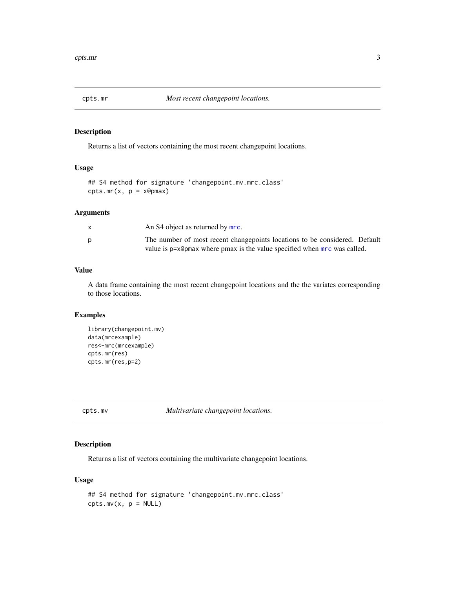<span id="page-2-0"></span>

#### Description

Returns a list of vectors containing the most recent changepoint locations.

#### Usage

```
## S4 method for signature 'changepoint.mv.mrc.class'
cyts.mr(x, p = x@pmax)
```
#### Arguments

| An S4 object as returned by mrc.                                           |
|----------------------------------------------------------------------------|
| The number of most recent changepoints locations to be considered. Default |
| value is p=x@pmax where pmax is the value specified when mrc was called.   |

#### Value

A data frame containing the most recent changepoint locations and the the variates corresponding to those locations.

#### Examples

```
library(changepoint.mv)
data(mrcexample)
res<-mrc(mrcexample)
cpts.mr(res)
cpts.mr(res,p=2)
```
cpts.mv *Multivariate changepoint locations.*

#### Description

Returns a list of vectors containing the multivariate changepoint locations.

```
## S4 method for signature 'changepoint.mv.mrc.class'
\text{cpts.mv}(x, p = \text{NULL})
```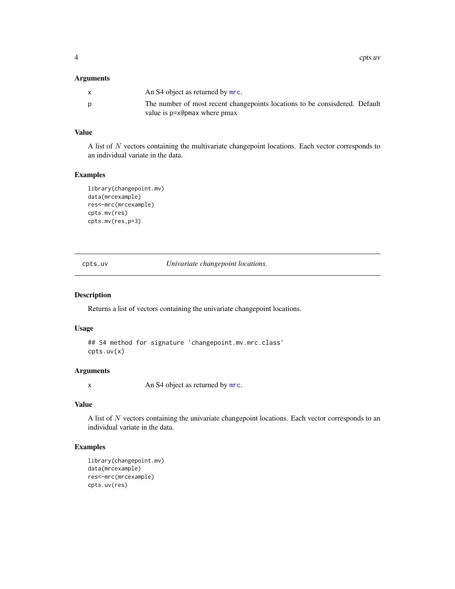<span id="page-3-0"></span>4 cpts.uv

#### Arguments

| The number of most recent changepoints locations to be consisdered. Default<br>D<br>value is p=x@pmax where pmax | $\mathsf{x}$ | An S4 object as returned by mrc. |  |
|------------------------------------------------------------------------------------------------------------------|--------------|----------------------------------|--|
|                                                                                                                  |              |                                  |  |

#### Value

A list of N vectors containing the multivariate changepoint locations. Each vector corresponds to an individual variate in the data.

#### Examples

```
library(changepoint.mv)
data(mrcexample)
res<-mrc(mrcexample)
cpts.mv(res)
cpts.mv(res,p=3)
```
cpts.uv *Univariate changepoint locations.*

#### Description

Returns a list of vectors containing the univariate changepoint locations.

#### Usage

## S4 method for signature 'changepoint.mv.mrc.class' cpts.uv(x)

#### Arguments

x An S4 object as returned by [mrc](#page-5-1).

#### Value

A list of  $N$  vectors containing the univariate changepoint locations. Each vector corresponds to an individual variate in the data.

#### Examples

```
library(changepoint.mv)
data(mrcexample)
res<-mrc(mrcexample)
cpts.uv(res)
```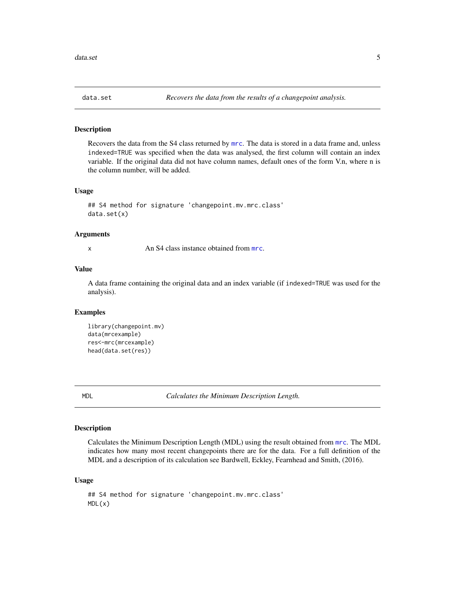<span id="page-4-0"></span>

#### Description

Recovers the data from the S4 class returned by [mrc](#page-5-1). The data is stored in a data frame and, unless indexed=TRUE was specified when the data was analysed, the first column will contain an index variable. If the original data did not have column names, default ones of the form V.n, where n is the column number, will be added.

#### Usage

```
## S4 method for signature 'changepoint.mv.mrc.class'
data.set(x)
```
#### Arguments

x An S4 class instance obtained from [mrc](#page-5-1).

#### Value

A data frame containing the original data and an index variable (if indexed=TRUE was used for the analysis).

#### Examples

```
library(changepoint.mv)
data(mrcexample)
res<-mrc(mrcexample)
head(data.set(res))
```
<span id="page-4-1"></span>MDL *Calculates the Minimum Description Length.*

#### Description

Calculates the Minimum Description Length (MDL) using the result obtained from [mrc](#page-5-1). The MDL indicates how many most recent changepoints there are for the data. For a full definition of the MDL and a description of its calculation see Bardwell, Eckley, Fearnhead and Smith, (2016).

```
## S4 method for signature 'changepoint.mv.mrc.class'
MDL(x)
```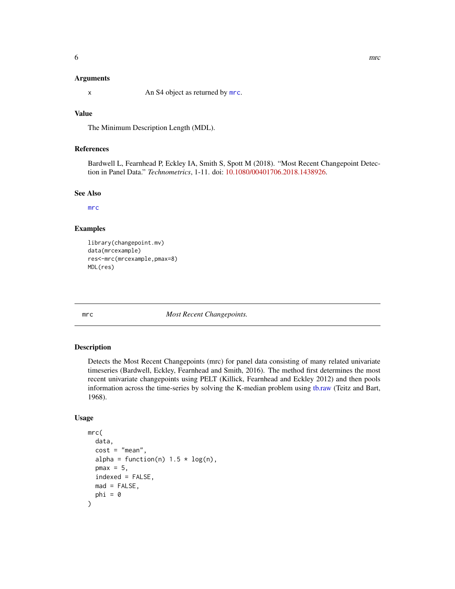#### <span id="page-5-0"></span>Arguments

x An S4 object as returned by [mrc](#page-5-1).

#### Value

The Minimum Description Length (MDL).

#### References

Bardwell L, Fearnhead P, Eckley IA, Smith S, Spott M (2018). "Most Recent Changepoint Detection in Panel Data." *Technometrics*, 1-11. doi: [10.1080/00401706.2018.1438926.](https://doi.org/10.1080/00401706.2018.1438926)

#### See Also

[mrc](#page-5-1)

#### Examples

```
library(changepoint.mv)
data(mrcexample)
res<-mrc(mrcexample,pmax=8)
MDL(res)
```
<span id="page-5-1"></span>mrc *Most Recent Changepoints.*

#### Description

Detects the Most Recent Changepoints (mrc) for panel data consisting of many related univariate timeseries (Bardwell, Eckley, Fearnhead and Smith, 2016). The method first determines the most recent univariate changepoints using PELT (Killick, Fearnhead and Eckley 2012) and then pools information across the time-series by solving the K-median problem using [tb.raw](#page-0-0) (Teitz and Bart, 1968).

```
mrc(
  data,
  cost = "mean",alpha = function(n) 1.5 * log(n),
  pmax = 5,
  indexed = FALSE,mad = FALSE,phi = \theta)
```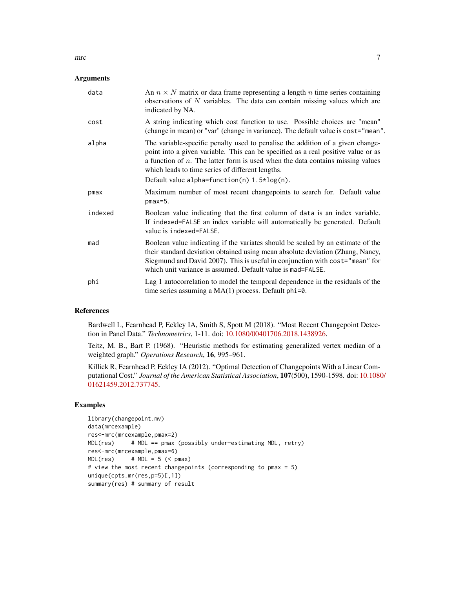### Arguments

| data    | An $n \times N$ matrix or data frame representing a length n time series containing<br>observations of $N$ variables. The data can contain missing values which are<br>indicated by NA.                                                                                                                          |
|---------|------------------------------------------------------------------------------------------------------------------------------------------------------------------------------------------------------------------------------------------------------------------------------------------------------------------|
| cost    | A string indicating which cost function to use. Possible choices are "mean"<br>(change in mean) or "var" (change in variance). The default value is cost="mean".                                                                                                                                                 |
| alpha   | The variable-specific penalty used to penalise the addition of a given change-<br>point into a given variable. This can be specified as a real positive value or as<br>a function of $n$ . The latter form is used when the data contains missing values<br>which leads to time series of different lengths.     |
|         | Default value alpha=function(n) $1.5*log(n)$ .                                                                                                                                                                                                                                                                   |
| pmax    | Maximum number of most recent changepoints to search for. Default value<br>$pmax=5$ .                                                                                                                                                                                                                            |
| indexed | Boolean value indicating that the first column of data is an index variable.<br>If indexed=FALSE an index variable will automatically be generated. Default<br>value is indexed=FALSE.                                                                                                                           |
| mad     | Boolean value indicating if the variates should be scaled by an estimate of the<br>their standard deviation obtained using mean absolute deviation (Zhang, Nancy,<br>Siegmund and David 2007). This is useful in conjunction with cost="mean" for<br>which unit variance is assumed. Default value is mad=FALSE. |
| phi     | Lag 1 autocorrelation to model the temporal dependence in the residuals of the<br>time series assuming a $MA(1)$ process. Default phi=0.                                                                                                                                                                         |

#### References

Bardwell L, Fearnhead P, Eckley IA, Smith S, Spott M (2018). "Most Recent Changepoint Detection in Panel Data." *Technometrics*, 1-11. doi: [10.1080/00401706.2018.1438926.](https://doi.org/10.1080/00401706.2018.1438926)

Teitz, M. B., Bart P. (1968). "Heuristic methods for estimating generalized vertex median of a weighted graph." *Operations Research*, 16, 995–961.

Killick R, Fearnhead P, Eckley IA (2012). "Optimal Detection of Changepoints With a Linear Computational Cost." *Journal of the American Statistical Association*, 107(500), 1590-1598. doi: [10.1080](https://doi.org/10.1080/01621459.2012.737745)/ [01621459.2012.737745.](https://doi.org/10.1080/01621459.2012.737745)

#### Examples

```
library(changepoint.mv)
data(mrcexample)
res<-mrc(mrcexample,pmax=2)
MDL(res) # MDL == pmax (possibly under-estimating MDL, retry)
res<-mrc(mrcexample,pmax=6)
MDL(res) # MDL = 5 (< pmax)
# view the most recent changepoints (corresponding to pmax = 5)
unique(cpts.mr(res,p=5)[,1])
summary(res) # summary of result
```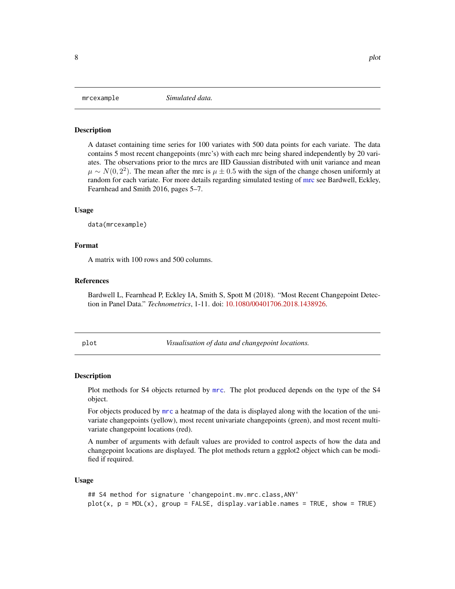#### **Description**

A dataset containing time series for 100 variates with 500 data points for each variate. The data contains 5 most recent changepoints (mrc's) with each mrc being shared independently by 20 variates. The observations prior to the mrcs are IID Gaussian distributed with unit variance and mean  $\mu \sim N(0, 2^2)$ . The mean after the mrc is  $\mu \pm 0.5$  with the sign of the change chosen uniformly at random for each variate. For more details regarding simulated testing of [mrc](#page-5-1) see Bardwell, Eckley, Fearnhead and Smith 2016, pages 5–7.

#### Usage

data(mrcexample)

#### Format

A matrix with 100 rows and 500 columns.

#### References

Bardwell L, Fearnhead P, Eckley IA, Smith S, Spott M (2018). "Most Recent Changepoint Detection in Panel Data." *Technometrics*, 1-11. doi: [10.1080/00401706.2018.1438926.](https://doi.org/10.1080/00401706.2018.1438926)

plot *Visualisation of data and changepoint locations.*

#### Description

Plot methods for S4 objects returned by [mrc](#page-5-1). The plot produced depends on the type of the S4 object.

For objects produced by [mrc](#page-5-1) a heatmap of the data is displayed along with the location of the univariate changepoints (yellow), most recent univariate changepoints (green), and most recent multivariate changepoint locations (red).

A number of arguments with default values are provided to control aspects of how the data and changepoint locations are displayed. The plot methods return a ggplot2 object which can be modified if required.

#### Usage

```
## S4 method for signature 'changepoint.mv.mrc.class,ANY'
plot(x, p = MDL(x), group = FALSE, displayvariable.name = TRUE, show = TRUE)
```
<span id="page-7-0"></span>mrcexample *Simulated data.*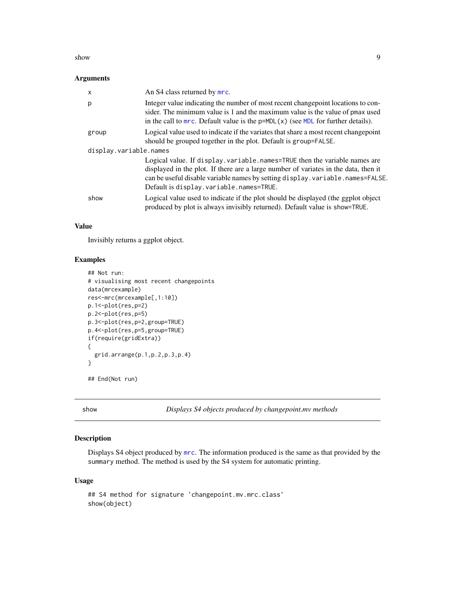#### <span id="page-8-0"></span>show 9

#### Arguments

| X                      | An S4 class returned by mrc.                                                                                                                                                                                                                                                                       |
|------------------------|----------------------------------------------------------------------------------------------------------------------------------------------------------------------------------------------------------------------------------------------------------------------------------------------------|
| p                      | Integer value indicating the number of most recent changepoint locations to con-<br>sider. The minimum value is 1 and the maximum value is the value of pmax used<br>in the call to $mrc$ . Default value is the $p=MDL(x)$ (see MDL for further details).                                         |
| group                  | Logical value used to indicate if the variates that share a most recent changepoint<br>should be grouped together in the plot. Default is group=FALSE.                                                                                                                                             |
| display.variable.names |                                                                                                                                                                                                                                                                                                    |
|                        | Logical value. If display. variable. names=TRUE then the variable names are<br>displayed in the plot. If there are a large number of variates in the data, then it<br>can be useful disable variable names by setting display. variable. names=FALSE.<br>Default is display. variable. names=TRUE. |
| show                   | Logical value used to indicate if the plot should be displayed (the ggplot object<br>produced by plot is always invisibly returned). Default value is show=TRUE.                                                                                                                                   |

#### Value

Invisibly returns a ggplot object.

#### Examples

```
## Not run:
# visualising most recent changepoints
data(mrcexample)
res<-mrc(mrcexample[,1:10])
p.1<-plot(res,p=2)
p.2<-plot(res,p=5)
p.3<-plot(res,p=2,group=TRUE)
p.4<-plot(res,p=5,group=TRUE)
if(require(gridExtra))
{
  grid.arrange(p.1,p.2,p.3,p.4)
}
## End(Not run)
```
show *Displays S4 objects produced by changepoint.mv methods*

#### Description

Displays S4 object produced by [mrc](#page-5-1). The information produced is the same as that provided by the summary method. The method is used by the S4 system for automatic printing.

```
## S4 method for signature 'changepoint.mv.mrc.class'
show(object)
```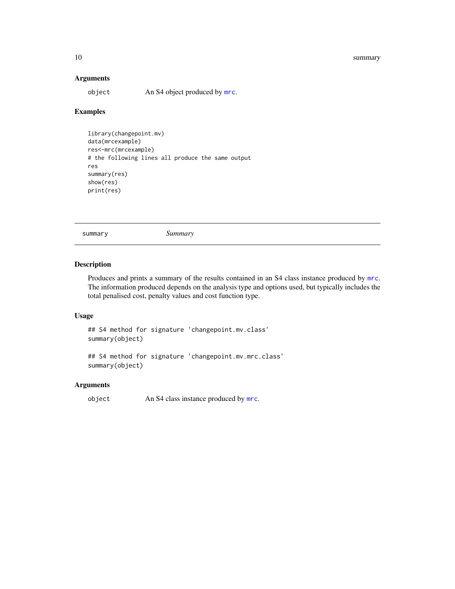#### <span id="page-9-0"></span>10 summary summary summary summary summary summary summary summary summary summary summary summary summary summary

#### Arguments

object An S4 object produced by [mrc](#page-5-1).

## Examples

```
library(changepoint.mv)
data(mrcexample)
res<-mrc(mrcexample)
# the following lines all produce the same output
res
summary(res)
show(res)
print(res)
```
summary *Summary*

#### Description

Produces and prints a summary of the results contained in an S4 class instance produced by [mrc](#page-5-1). The information produced depends on the analysis type and options used, but typically includes the total penalised cost, penalty values and cost function type.

### Usage

## S4 method for signature 'changepoint.mv.class' summary(object)

## S4 method for signature 'changepoint.mv.mrc.class' summary(object)

#### Arguments

object An S4 class instance produced by [mrc](#page-5-1).